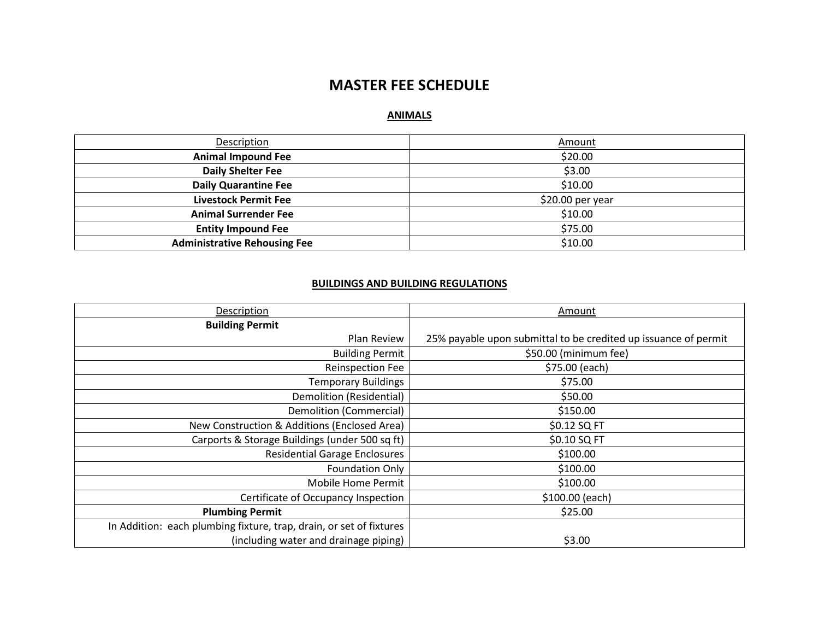# **MASTER FEE SCHEDULE**

## **ANIMALS**

| Description                         | Amount           |
|-------------------------------------|------------------|
| <b>Animal Impound Fee</b>           | \$20.00          |
| <b>Daily Shelter Fee</b>            | \$3.00           |
| <b>Daily Quarantine Fee</b>         | \$10.00          |
| <b>Livestock Permit Fee</b>         | \$20.00 per year |
| <b>Animal Surrender Fee</b>         | \$10.00          |
| <b>Entity Impound Fee</b>           | \$75.00          |
| <b>Administrative Rehousing Fee</b> | \$10.00          |

#### **BUILDINGS AND BUILDING REGULATIONS**

| Description                                                         | Amount                                                          |
|---------------------------------------------------------------------|-----------------------------------------------------------------|
| <b>Building Permit</b>                                              |                                                                 |
| Plan Review                                                         | 25% payable upon submittal to be credited up issuance of permit |
| <b>Building Permit</b>                                              | \$50.00 (minimum fee)                                           |
| Reinspection Fee                                                    | \$75.00 (each)                                                  |
| <b>Temporary Buildings</b>                                          | \$75.00                                                         |
| Demolition (Residential)                                            | \$50.00                                                         |
| <b>Demolition (Commercial)</b>                                      | \$150.00                                                        |
| New Construction & Additions (Enclosed Area)                        | \$0.12 SQ FT                                                    |
| Carports & Storage Buildings (under 500 sq ft)                      | \$0.10 SQ FT                                                    |
| <b>Residential Garage Enclosures</b>                                | \$100.00                                                        |
| <b>Foundation Only</b>                                              | \$100.00                                                        |
| Mobile Home Permit                                                  | \$100.00                                                        |
| Certificate of Occupancy Inspection                                 | \$100.00 (each)                                                 |
| <b>Plumbing Permit</b>                                              | \$25.00                                                         |
| In Addition: each plumbing fixture, trap, drain, or set of fixtures |                                                                 |
| (including water and drainage piping)                               | \$3.00                                                          |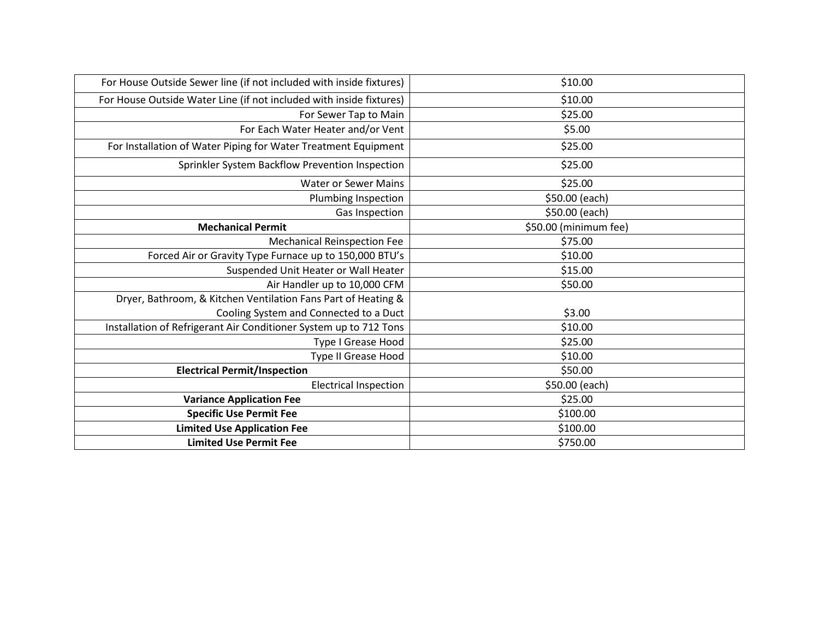| \$10.00               |
|-----------------------|
| \$10.00               |
| \$25.00               |
| \$5.00                |
| \$25.00               |
| \$25.00               |
| \$25.00               |
| \$50.00 (each)        |
| \$50.00 (each)        |
| \$50.00 (minimum fee) |
| \$75.00               |
| \$10.00               |
| \$15.00               |
| \$50.00               |
|                       |
| \$3.00                |
| \$10.00               |
| \$25.00               |
| \$10.00               |
| \$50.00               |
| \$50.00 (each)        |
| \$25.00               |
| \$100.00              |
| \$100.00              |
| \$750.00              |
|                       |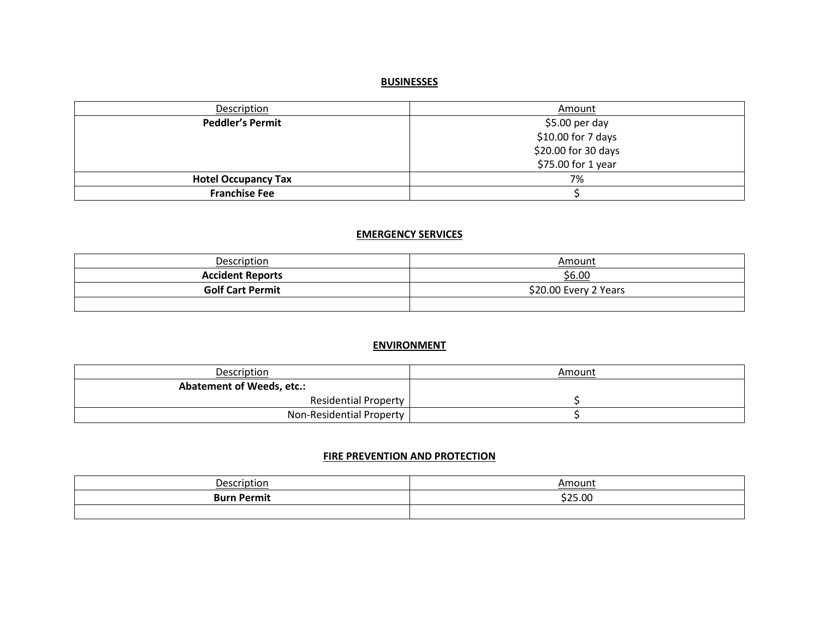# **BUSINESSES**

| Description                | Amount              |
|----------------------------|---------------------|
| <b>Peddler's Permit</b>    | \$5.00 per day      |
|                            | \$10.00 for 7 days  |
|                            | \$20.00 for 30 days |
|                            | \$75.00 for 1 year  |
| <b>Hotel Occupancy Tax</b> | 7%                  |
| <b>Franchise Fee</b>       |                     |

# **EMERGENCY SERVICES**

| Description             | Amount                |
|-------------------------|-----------------------|
| <b>Accident Reports</b> | <u>\$6.00</u>         |
| <b>Golf Cart Permit</b> | \$20.00 Every 2 Years |
|                         |                       |

# **ENVIRONMENT**

| <b>Description</b>               | Amount |
|----------------------------------|--------|
| <b>Abatement of Weeds, etc.:</b> |        |
| <b>Residential Property</b>      |        |
| Non-Residential Property         |        |

#### **FIRE PREVENTION AND PROTECTION**

| Description        | Amount  |
|--------------------|---------|
| <b>Burn Permit</b> | \$25.00 |
|                    |         |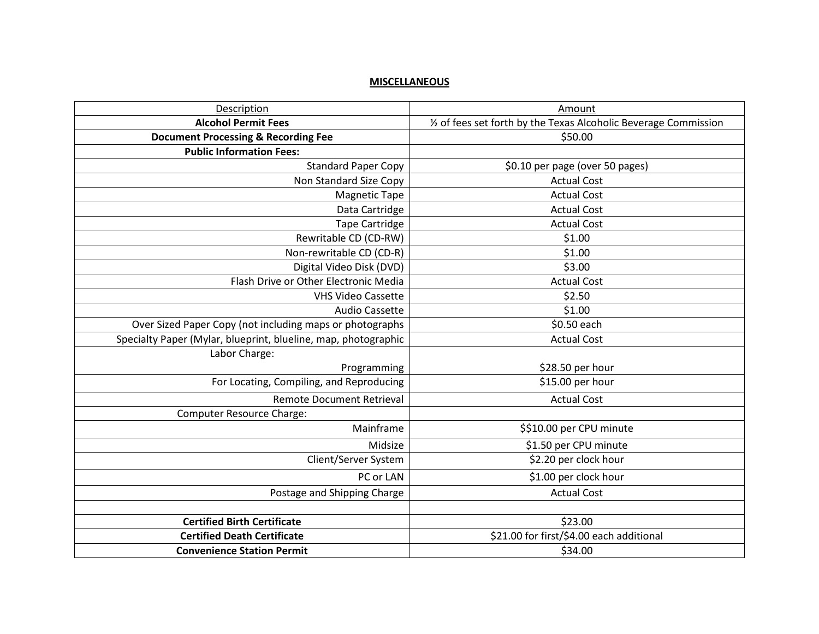## **MISCELLANEOUS**

| Description                                                    | Amount                                                           |
|----------------------------------------------------------------|------------------------------------------------------------------|
| <b>Alcohol Permit Fees</b>                                     | 1/2 of fees set forth by the Texas Alcoholic Beverage Commission |
| <b>Document Processing &amp; Recording Fee</b>                 | \$50.00                                                          |
| <b>Public Information Fees:</b>                                |                                                                  |
| <b>Standard Paper Copy</b>                                     | \$0.10 per page (over 50 pages)                                  |
| Non Standard Size Copy                                         | <b>Actual Cost</b>                                               |
| <b>Magnetic Tape</b>                                           | <b>Actual Cost</b>                                               |
| Data Cartridge                                                 | <b>Actual Cost</b>                                               |
| <b>Tape Cartridge</b>                                          | <b>Actual Cost</b>                                               |
| Rewritable CD (CD-RW)                                          | \$1.00                                                           |
| Non-rewritable CD (CD-R)                                       | \$1.00                                                           |
| Digital Video Disk (DVD)                                       | \$3.00                                                           |
| Flash Drive or Other Electronic Media                          | <b>Actual Cost</b>                                               |
| <b>VHS Video Cassette</b>                                      | \$2.50                                                           |
| <b>Audio Cassette</b>                                          | \$1.00                                                           |
| Over Sized Paper Copy (not including maps or photographs       | \$0.50 each                                                      |
| Specialty Paper (Mylar, blueprint, blueline, map, photographic | <b>Actual Cost</b>                                               |
| Labor Charge:                                                  |                                                                  |
| Programming                                                    | \$28.50 per hour                                                 |
| For Locating, Compiling, and Reproducing                       | \$15.00 per hour                                                 |
| <b>Remote Document Retrieval</b>                               | <b>Actual Cost</b>                                               |
| <b>Computer Resource Charge:</b>                               |                                                                  |
| Mainframe                                                      | \$\$10.00 per CPU minute                                         |
| Midsize                                                        | \$1.50 per CPU minute                                            |
| Client/Server System                                           | \$2.20 per clock hour                                            |
| PC or LAN                                                      | \$1.00 per clock hour                                            |
| Postage and Shipping Charge                                    | <b>Actual Cost</b>                                               |
|                                                                |                                                                  |
| <b>Certified Birth Certificate</b>                             | \$23.00                                                          |
| <b>Certified Death Certificate</b>                             | \$21.00 for first/\$4.00 each additional                         |
| <b>Convenience Station Permit</b>                              | \$34.00                                                          |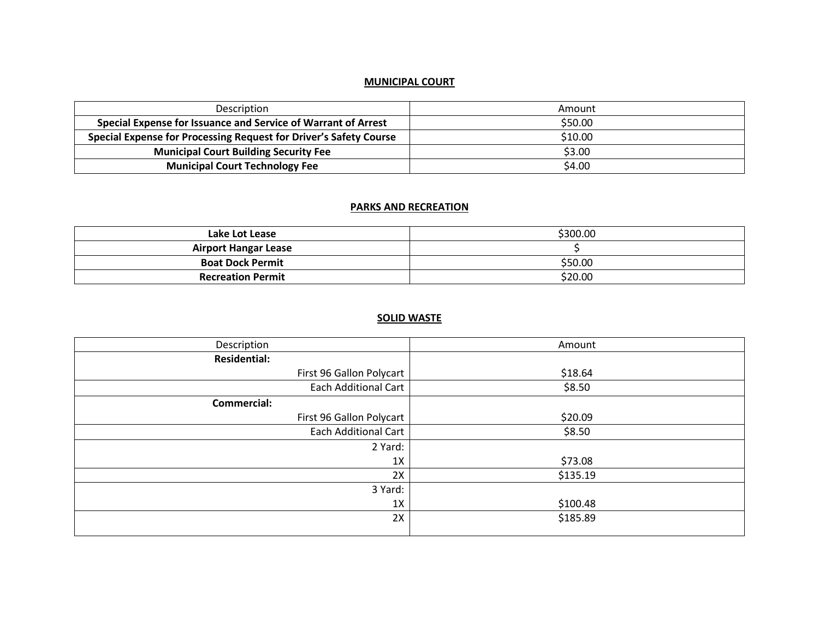## **MUNICIPAL COURT**

| Description                                                              | Amount  |
|--------------------------------------------------------------------------|---------|
| Special Expense for Issuance and Service of Warrant of Arrest            | \$50.00 |
| <b>Special Expense for Processing Request for Driver's Safety Course</b> | \$10.00 |
| <b>Municipal Court Building Security Fee</b>                             | \$3.00  |
| <b>Municipal Court Technology Fee</b>                                    | \$4.00  |

#### **PARKS AND RECREATION**

| Lake Lot Lease              | \$300.00 |
|-----------------------------|----------|
| <b>Airport Hangar Lease</b> |          |
| <b>Boat Dock Permit</b>     | \$50.00  |
| <b>Recreation Permit</b>    | \$20.00  |

# **SOLID WASTE**

| Description                 | Amount   |
|-----------------------------|----------|
| <b>Residential:</b>         |          |
| First 96 Gallon Polycart    | \$18.64  |
| <b>Each Additional Cart</b> | \$8.50   |
| <b>Commercial:</b>          |          |
| First 96 Gallon Polycart    | \$20.09  |
| Each Additional Cart        | \$8.50   |
| 2 Yard:                     |          |
| 1X                          | \$73.08  |
| 2X                          | \$135.19 |
| 3 Yard:                     |          |
| 1X                          | \$100.48 |
| 2X                          | \$185.89 |
|                             |          |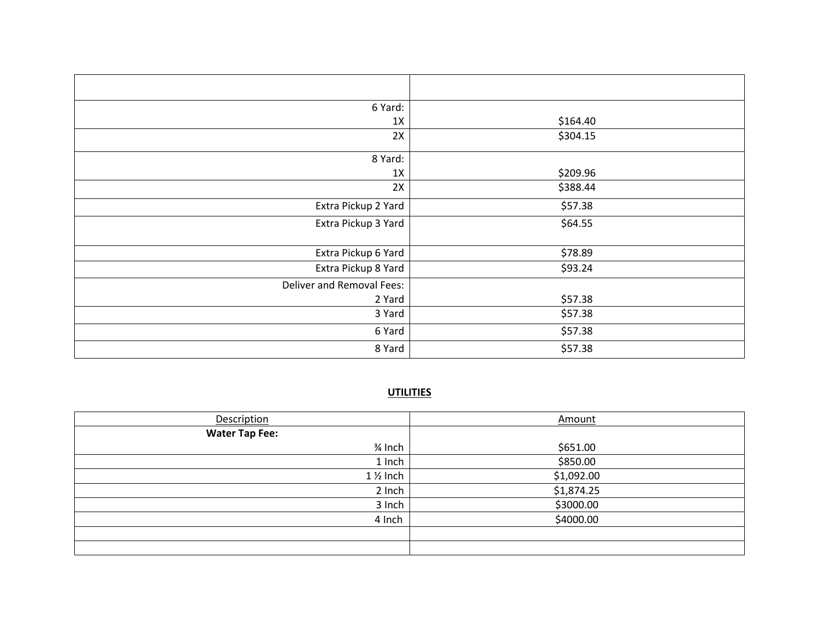| 6 Yard:                   |          |
|---------------------------|----------|
| 1X                        | \$164.40 |
| 2X                        | \$304.15 |
| 8 Yard:                   |          |
| 1X                        | \$209.96 |
| 2X                        | \$388.44 |
| Extra Pickup 2 Yard       | \$57.38  |
| Extra Pickup 3 Yard       | \$64.55  |
| Extra Pickup 6 Yard       | \$78.89  |
| Extra Pickup 8 Yard       | \$93.24  |
| Deliver and Removal Fees: |          |
| 2 Yard                    | \$57.38  |
| 3 Yard                    | \$57.38  |
| 6 Yard                    | \$57.38  |
| 8 Yard                    | \$57.38  |

## **UTILITIES**

| Description           | Amount     |
|-----------------------|------------|
| <b>Water Tap Fee:</b> |            |
| $\frac{3}{4}$ Inch    | \$651.00   |
| 1 Inch                | \$850.00   |
| $1\%$ Inch            | \$1,092.00 |
| 2 Inch                | \$1,874.25 |
| 3 Inch                | \$3000.00  |
| 4 Inch                | \$4000.00  |
|                       |            |
|                       |            |